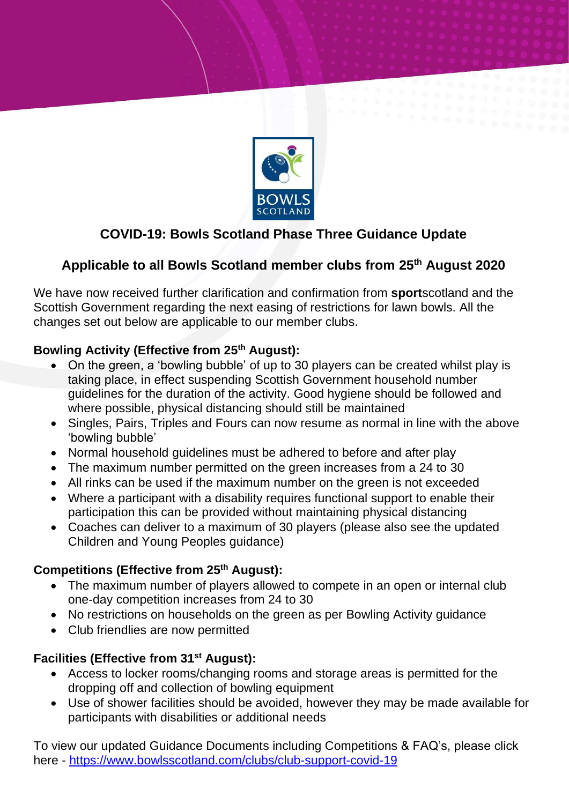

# **COVID-19: Bowls Scotland Phase Three Guidance Update**

## **Applicable to all Bowls Scotland member clubs from 25th August 2020**

We have now received further clarification and confirmation from **sport**scotland and the Scottish Government regarding the next easing of restrictions for lawn bowls. All the changes set out below are applicable to our member clubs.

## **Bowling Activity (Effective from 25th August):**

- On the green, a 'bowling bubble' of up to 30 players can be created whilst play is taking place, in effect suspending Scottish Government household number guidelines for the duration of the activity. Good hygiene should be followed and where possible, physical distancing should still be maintained
- Singles, Pairs, Triples and Fours can now resume as normal in line with the above 'bowling bubble'
- Normal household guidelines must be adhered to before and after play
- The maximum number permitted on the green increases from a 24 to 30
- All rinks can be used if the maximum number on the green is not exceeded
- Where a participant with a disability requires functional support to enable their participation this can be provided without maintaining physical distancing
- Coaches can deliver to a maximum of 30 players (please also see the updated Children and Young Peoples guidance)

### **Competitions (Effective from 25th August):**

- The maximum number of players allowed to compete in an open or internal club one-day competition increases from 24 to 30
- No restrictions on households on the green as per Bowling Activity guidance
- Club friendlies are now permitted

### **Facilities (Effective from 31st August):**

- Access to locker rooms/changing rooms and storage areas is permitted for the dropping off and collection of bowling equipment
- Use of shower facilities should be avoided, however they may be made available for participants with disabilities or additional needs

To view our updated Guidance Documents including Competitions & FAQ's, please click here - <https://www.bowlsscotland.com/clubs/club-support-covid-19>